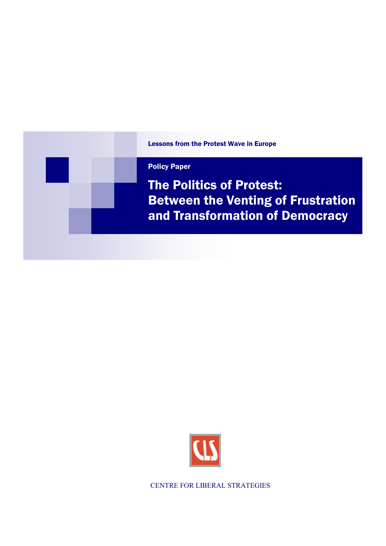



CENTRE FOR LIBERAL STRATEGIES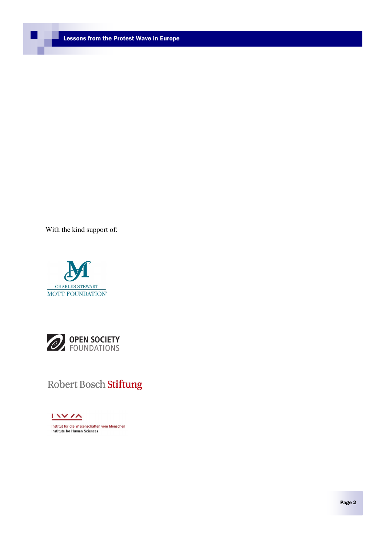With the kind support of:





## Robert Bosch Stiftung



Institut für die Wissenschaften vom Menschen Institute for Human Sciences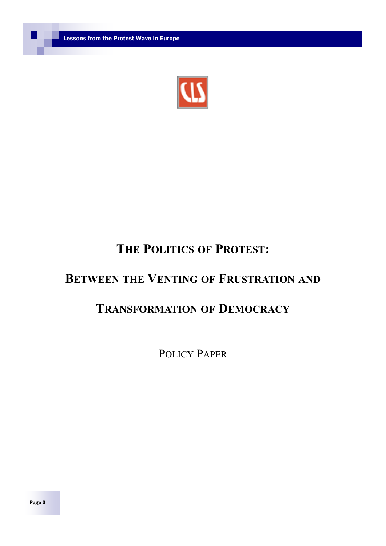

# **THE POLITICS OF PROTEST:**

# **BETWEEN THE VENTING OF FRUSTRATION AND**

# **TRANSFORMATION OF DEMOCRACY**

POLICY PAPER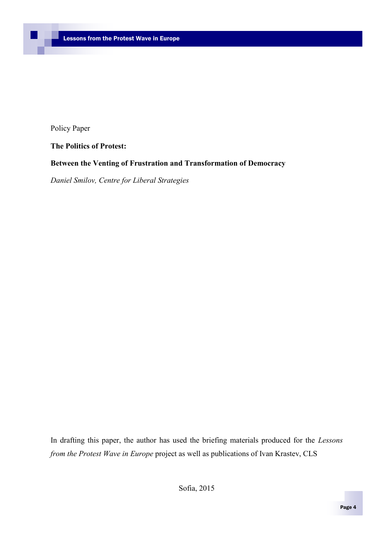Policy Paper

**The Politics of Protest:** 

#### **Between the Venting of Frustration and Transformation of Democracy**

*Daniel Smilov, Centre for Liberal Strategies*

In drafting this paper, the author has used the briefing materials produced for the *Lessons from the Protest Wave in Europe* project as well as publications of Ivan Krastev, CLS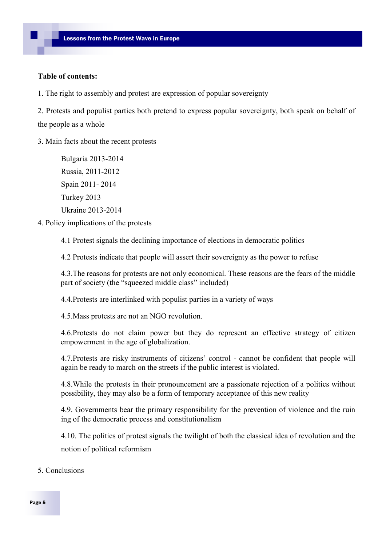#### **Table of contents:**

1. The right to assembly and protest are expression of popular sovereignty

2. Protests and populist parties both pretend to express popular sovereignty, both speak on behalf of the people as a whole

3. Main facts about the recent protests

Bulgaria 2013-2014 Russia, 2011-2012 Spain 2011- 2014 Turkey 2013 Ukraine 2013-2014

4. Policy implications of the protests

4.1 Protest signals the declining importance of elections in democratic politics

4.2 Protests indicate that people will assert their sovereignty as the power to refuse

4.3.The reasons for protests are not only economical. These reasons are the fears of the middle part of society (the "squeezed middle class" included)

4.4.Protests are interlinked with populist parties in a variety of ways

4.5.Mass protests are not an NGO revolution.

4.6.Protests do not claim power but they do represent an effective strategy of citizen empowerment in the age of globalization.

4.7.Protests are risky instruments of citizens' control - cannot be confident that people will again be ready to march on the streets if the public interest is violated.

4.8.While the protests in their pronouncement are a passionate rejection of a politics without possibility, they may also be a form of temporary acceptance of this new reality

4.9. Governments bear the primary responsibility for the prevention of violence and the ruin ing of the democratic process and constitutionalism

4.10. The politics of protest signals the twilight of both the classical idea of revolution and the notion of political reformism

#### 5. Conclusions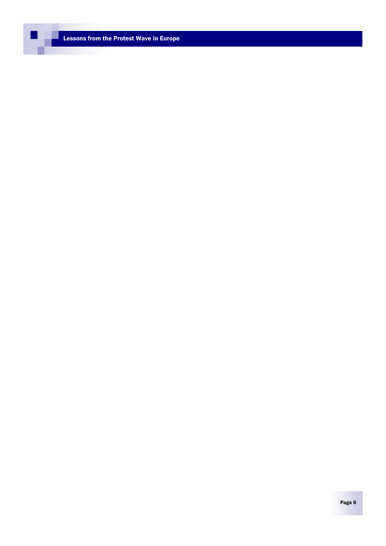Lessons from the Protest Wave in Europe

п,

Ш ٠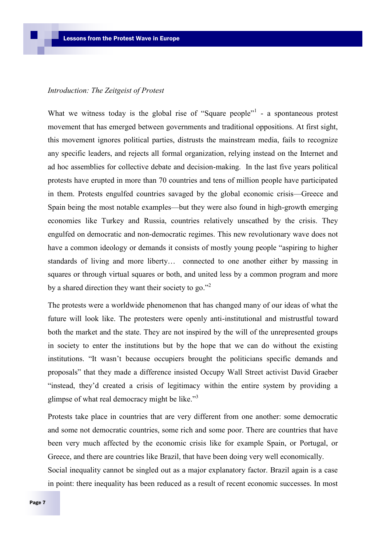#### *Introduction: The Zeitgeist of Protest*

What we witness today is the global rise of "Square people"<sup>1</sup> - a spontaneous protest movement that has emerged between governments and traditional oppositions. At first sight, this movement ignores political parties, distrusts the mainstream media, fails to recognize any specific leaders, and rejects all formal organization, relying instead on the Internet and ad hoc assemblies for collective debate and decision-making. In the last five years political protests have erupted in more than 70 countries and tens of million people have participated in them. Protests engulfed countries savaged by the global economic crisis—Greece and Spain being the most notable examples—but they were also found in high-growth emerging economies like Turkey and Russia, countries relatively unscathed by the crisis. They engulfed on democratic and non-democratic regimes. This new revolutionary wave does not have a common ideology or demands it consists of mostly young people "aspiring to higher standards of living and more liberty… connected to one another either by massing in squares or through virtual squares or both, and united less by a common program and more by a shared direction they want their society to go."<sup>2</sup>

The protests were a worldwide phenomenon that has changed many of our ideas of what the future will look like. The protesters were openly anti-institutional and mistrustful toward both the market and the state. They are not inspired by the will of the unrepresented groups in society to enter the institutions but by the hope that we can do without the existing institutions. "It wasn't because occupiers brought the politicians specific demands and proposals" that they made a difference insisted Occupy Wall Street activist David Graeber "instead, they'd created a crisis of legitimacy within the entire system by providing a glimpse of what real democracy might be like."<sup>3</sup>

Protests take place in countries that are very different from one another: some democratic and some not democratic countries, some rich and some poor. There are countries that have been very much affected by the economic crisis like for example Spain, or Portugal, or Greece, and there are countries like Brazil, that have been doing very well economically. Social inequality cannot be singled out as a major explanatory factor. Brazil again is a case in point: there inequality has been reduced as a result of recent economic successes. In most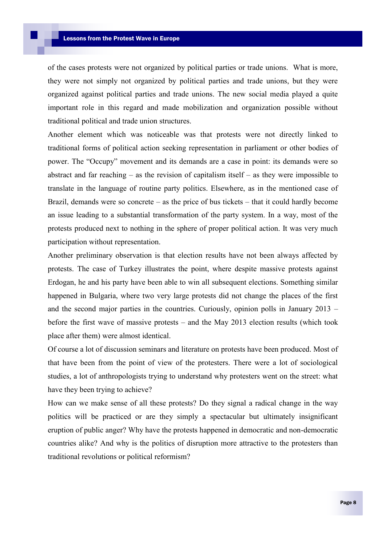of the cases protests were not organized by political parties or trade unions. What is more, they were not simply not organized by political parties and trade unions, but they were organized against political parties and trade unions. The new social media played a quite important role in this regard and made mobilization and organization possible without traditional political and trade union structures.

Another element which was noticeable was that protests were not directly linked to traditional forms of political action seeking representation in parliament or other bodies of power. The "Occupy" movement and its demands are a case in point: its demands were so abstract and far reaching – as the revision of capitalism itself – as they were impossible to translate in the language of routine party politics. Elsewhere, as in the mentioned case of Brazil, demands were so concrete – as the price of bus tickets – that it could hardly become an issue leading to a substantial transformation of the party system. In a way, most of the protests produced next to nothing in the sphere of proper political action. It was very much participation without representation.

Another preliminary observation is that election results have not been always affected by protests. The case of Turkey illustrates the point, where despite massive protests against Erdogan, he and his party have been able to win all subsequent elections. Something similar happened in Bulgaria, where two very large protests did not change the places of the first and the second major parties in the countries. Curiously, opinion polls in January 2013 – before the first wave of massive protests – and the May 2013 election results (which took place after them) were almost identical.

Of course a lot of discussion seminars and literature on protests have been produced. Most of that have been from the point of view of the protesters. There were a lot of sociological studies, a lot of anthropologists trying to understand why protesters went on the street: what have they been trying to achieve?

How can we make sense of all these protests? Do they signal a radical change in the way politics will be practiced or are they simply a spectacular but ultimately insignificant eruption of public anger? Why have the protests happened in democratic and non-democratic countries alike? And why is the politics of disruption more attractive to the protesters than traditional revolutions or political reformism?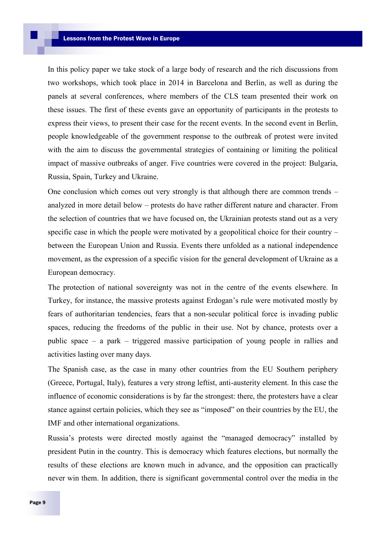In this policy paper we take stock of a large body of research and the rich discussions from two workshops, which took place in 2014 in Barcelona and Berlin, as well as during the panels at several conferences, where members of the CLS team presented their work on these issues. The first of these events gave an opportunity of participants in the protests to express their views, to present their case for the recent events. In the second event in Berlin, people knowledgeable of the government response to the outbreak of protest were invited with the aim to discuss the governmental strategies of containing or limiting the political impact of massive outbreaks of anger. Five countries were covered in the project: Bulgaria, Russia, Spain, Turkey and Ukraine.

One conclusion which comes out very strongly is that although there are common trends – analyzed in more detail below – protests do have rather different nature and character. From the selection of countries that we have focused on, the Ukrainian protests stand out as a very specific case in which the people were motivated by a geopolitical choice for their country – between the European Union and Russia. Events there unfolded as a national independence movement, as the expression of a specific vision for the general development of Ukraine as a European democracy.

The protection of national sovereignty was not in the centre of the events elsewhere. In Turkey, for instance, the massive protests against Erdogan's rule were motivated mostly by fears of authoritarian tendencies, fears that a non-secular political force is invading public spaces, reducing the freedoms of the public in their use. Not by chance, protests over a public space – a park – triggered massive participation of young people in rallies and activities lasting over many days.

The Spanish case, as the case in many other countries from the EU Southern periphery (Greece, Portugal, Italy), features a very strong leftist, anti-austerity element. In this case the influence of economic considerations is by far the strongest: there, the protesters have a clear stance against certain policies, which they see as "imposed" on their countries by the EU, the IMF and other international organizations.

Russia's protests were directed mostly against the "managed democracy" installed by president Putin in the country. This is democracy which features elections, but normally the results of these elections are known much in advance, and the opposition can practically never win them. In addition, there is significant governmental control over the media in the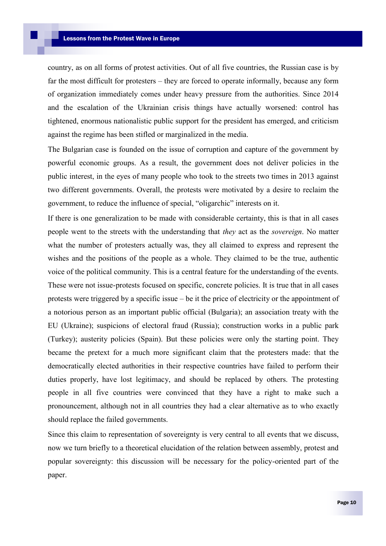country, as on all forms of protest activities. Out of all five countries, the Russian case is by far the most difficult for protesters – they are forced to operate informally, because any form of organization immediately comes under heavy pressure from the authorities. Since 2014 and the escalation of the Ukrainian crisis things have actually worsened: control has tightened, enormous nationalistic public support for the president has emerged, and criticism against the regime has been stifled or marginalized in the media.

The Bulgarian case is founded on the issue of corruption and capture of the government by powerful economic groups. As a result, the government does not deliver policies in the public interest, in the eyes of many people who took to the streets two times in 2013 against two different governments. Overall, the protests were motivated by a desire to reclaim the government, to reduce the influence of special, "oligarchic" interests on it.

If there is one generalization to be made with considerable certainty, this is that in all cases people went to the streets with the understanding that *they* act as the *sovereign*. No matter what the number of protesters actually was, they all claimed to express and represent the wishes and the positions of the people as a whole. They claimed to be the true, authentic voice of the political community. This is a central feature for the understanding of the events. These were not issue-protests focused on specific, concrete policies. It is true that in all cases protests were triggered by a specific issue – be it the price of electricity or the appointment of a notorious person as an important public official (Bulgaria); an association treaty with the EU (Ukraine); suspicions of electoral fraud (Russia); construction works in a public park (Turkey); austerity policies (Spain). But these policies were only the starting point. They became the pretext for a much more significant claim that the protesters made: that the democratically elected authorities in their respective countries have failed to perform their duties properly, have lost legitimacy, and should be replaced by others. The protesting people in all five countries were convinced that they have a right to make such a pronouncement, although not in all countries they had a clear alternative as to who exactly should replace the failed governments.

Since this claim to representation of sovereignty is very central to all events that we discuss, now we turn briefly to a theoretical elucidation of the relation between assembly, protest and popular sovereignty: this discussion will be necessary for the policy-oriented part of the paper.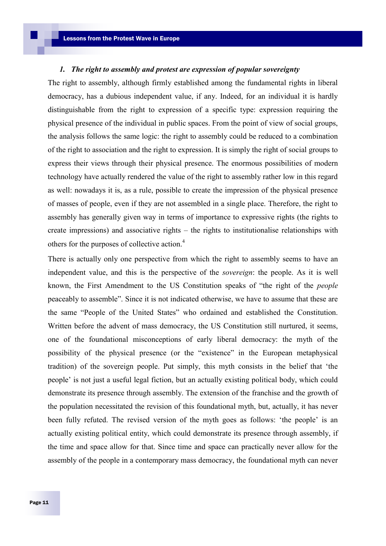#### *1. The right to assembly and protest are expression of popular sovereignty*

The right to assembly, although firmly established among the fundamental rights in liberal democracy, has a dubious independent value, if any. Indeed, for an individual it is hardly distinguishable from the right to expression of a specific type: expression requiring the physical presence of the individual in public spaces. From the point of view of social groups, the analysis follows the same logic: the right to assembly could be reduced to a combination of the right to association and the right to expression. It is simply the right of social groups to express their views through their physical presence. The enormous possibilities of modern technology have actually rendered the value of the right to assembly rather low in this regard as well: nowadays it is, as a rule, possible to create the impression of the physical presence of masses of people, even if they are not assembled in a single place. Therefore, the right to assembly has generally given way in terms of importance to expressive rights (the rights to create impressions) and associative rights – the rights to institutionalise relationships with others for the purposes of collective action.<sup>4</sup>

There is actually only one perspective from which the right to assembly seems to have an independent value, and this is the perspective of the *sovereign*: the people. As it is well known, the First Amendment to the US Constitution speaks of "the right of the *people*  peaceably to assemble". Since it is not indicated otherwise, we have to assume that these are the same "People of the United States" who ordained and established the Constitution. Written before the advent of mass democracy, the US Constitution still nurtured, it seems, one of the foundational misconceptions of early liberal democracy: the myth of the possibility of the physical presence (or the "existence" in the European metaphysical tradition) of the sovereign people. Put simply, this myth consists in the belief that 'the people' is not just a useful legal fiction, but an actually existing political body, which could demonstrate its presence through assembly. The extension of the franchise and the growth of the population necessitated the revision of this foundational myth, but, actually, it has never been fully refuted. The revised version of the myth goes as follows: 'the people' is an actually existing political entity, which could demonstrate its presence through assembly, if the time and space allow for that. Since time and space can practically never allow for the assembly of the people in a contemporary mass democracy, the foundational myth can never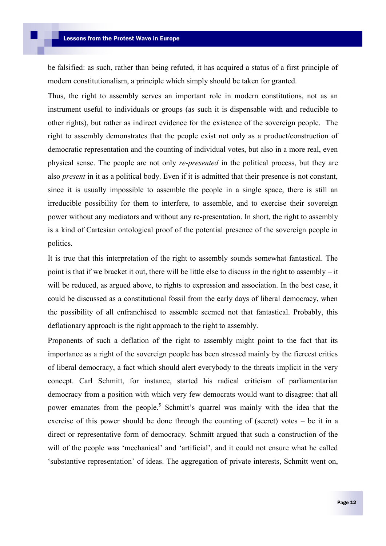be falsified: as such, rather than being refuted, it has acquired a status of a first principle of modern constitutionalism, a principle which simply should be taken for granted.

Thus, the right to assembly serves an important role in modern constitutions, not as an instrument useful to individuals or groups (as such it is dispensable with and reducible to other rights), but rather as indirect evidence for the existence of the sovereign people. The right to assembly demonstrates that the people exist not only as a product/construction of democratic representation and the counting of individual votes, but also in a more real, even physical sense. The people are not only *re-presented* in the political process, but they are also *present* in it as a political body. Even if it is admitted that their presence is not constant, since it is usually impossible to assemble the people in a single space, there is still an irreducible possibility for them to interfere, to assemble, and to exercise their sovereign power without any mediators and without any re-presentation. In short, the right to assembly is a kind of Cartesian ontological proof of the potential presence of the sovereign people in politics.

It is true that this interpretation of the right to assembly sounds somewhat fantastical. The point is that if we bracket it out, there will be little else to discuss in the right to assembly – it will be reduced, as argued above, to rights to expression and association. In the best case, it could be discussed as a constitutional fossil from the early days of liberal democracy, when the possibility of all enfranchised to assemble seemed not that fantastical. Probably, this deflationary approach is the right approach to the right to assembly.

Proponents of such a deflation of the right to assembly might point to the fact that its importance as a right of the sovereign people has been stressed mainly by the fiercest critics of liberal democracy, a fact which should alert everybody to the threats implicit in the very concept. Carl Schmitt, for instance, started his radical criticism of parliamentarian democracy from a position with which very few democrats would want to disagree: that all power emanates from the people.<sup>5</sup> Schmitt's quarrel was mainly with the idea that the exercise of this power should be done through the counting of (secret) votes – be it in a direct or representative form of democracy. Schmitt argued that such a construction of the will of the people was 'mechanical' and 'artificial', and it could not ensure what he called 'substantive representation' of ideas. The aggregation of private interests, Schmitt went on,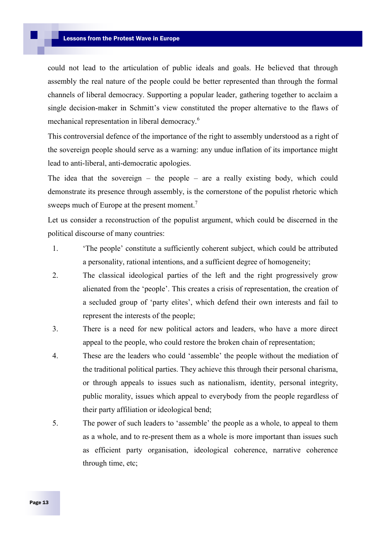could not lead to the articulation of public ideals and goals. He believed that through assembly the real nature of the people could be better represented than through the formal channels of liberal democracy. Supporting a popular leader, gathering together to acclaim a single decision-maker in Schmitt's view constituted the proper alternative to the flaws of mechanical representation in liberal democracy.<sup>6</sup>

This controversial defence of the importance of the right to assembly understood as a right of the sovereign people should serve as a warning: any undue inflation of its importance might lead to anti-liberal, anti-democratic apologies.

The idea that the sovereign – the people – are a really existing body, which could demonstrate its presence through assembly, is the cornerstone of the populist rhetoric which sweeps much of Europe at the present moment.<sup>7</sup>

Let us consider a reconstruction of the populist argument, which could be discerned in the political discourse of many countries:

- 1. 'The people' constitute a sufficiently coherent subject, which could be attributed a personality, rational intentions, and a sufficient degree of homogeneity;
- 2. The classical ideological parties of the left and the right progressively grow alienated from the 'people'. This creates a crisis of representation, the creation of a secluded group of 'party elites', which defend their own interests and fail to represent the interests of the people;
- 3. There is a need for new political actors and leaders, who have a more direct appeal to the people, who could restore the broken chain of representation;
- 4. These are the leaders who could 'assemble' the people without the mediation of the traditional political parties. They achieve this through their personal charisma, or through appeals to issues such as nationalism, identity, personal integrity, public morality, issues which appeal to everybody from the people regardless of their party affiliation or ideological bend;
- 5. The power of such leaders to 'assemble' the people as a whole, to appeal to them as a whole, and to re-present them as a whole is more important than issues such as efficient party organisation, ideological coherence, narrative coherence through time, etc;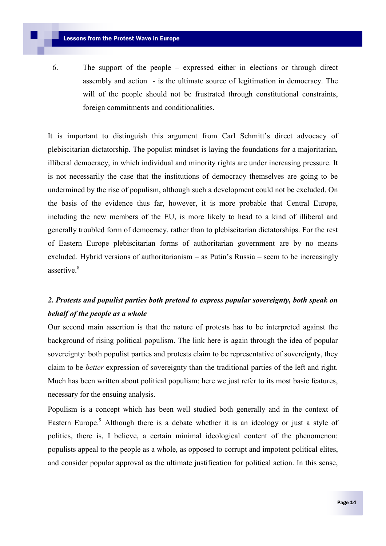6. The support of the people – expressed either in elections or through direct assembly and action - is the ultimate source of legitimation in democracy. The will of the people should not be frustrated through constitutional constraints, foreign commitments and conditionalities.

It is important to distinguish this argument from Carl Schmitt's direct advocacy of plebiscitarian dictatorship. The populist mindset is laying the foundations for a majoritarian, illiberal democracy, in which individual and minority rights are under increasing pressure. It is not necessarily the case that the institutions of democracy themselves are going to be undermined by the rise of populism, although such a development could not be excluded. On the basis of the evidence thus far, however, it is more probable that Central Europe, including the new members of the EU, is more likely to head to a kind of illiberal and generally troubled form of democracy, rather than to plebiscitarian dictatorships. For the rest of Eastern Europe plebiscitarian forms of authoritarian government are by no means excluded. Hybrid versions of authoritarianism – as Putin's Russia – seem to be increasingly assertive<sup>8</sup>

### *2. Protests and populist parties both pretend to express popular sovereignty, both speak on behalf of the people as a whole*

Our second main assertion is that the nature of protests has to be interpreted against the background of rising political populism. The link here is again through the idea of popular sovereignty: both populist parties and protests claim to be representative of sovereignty, they claim to be *better* expression of sovereignty than the traditional parties of the left and right. Much has been written about political populism: here we just refer to its most basic features, necessary for the ensuing analysis.

Populism is a concept which has been well studied both generally and in the context of Eastern Europe.<sup>9</sup> Although there is a debate whether it is an ideology or just a style of politics, there is, I believe, a certain minimal ideological content of the phenomenon: populists appeal to the people as a whole, as opposed to corrupt and impotent political elites, and consider popular approval as the ultimate justification for political action. In this sense,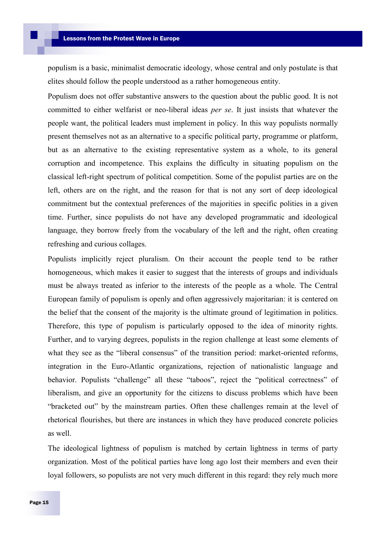populism is a basic, minimalist democratic ideology, whose central and only postulate is that elites should follow the people understood as a rather homogeneous entity.

Populism does not offer substantive answers to the question about the public good. It is not committed to either welfarist or neo-liberal ideas *per se*. It just insists that whatever the people want, the political leaders must implement in policy. In this way populists normally present themselves not as an alternative to a specific political party, programme or platform, but as an alternative to the existing representative system as a whole, to its general corruption and incompetence. This explains the difficulty in situating populism on the classical left-right spectrum of political competition. Some of the populist parties are on the left, others are on the right, and the reason for that is not any sort of deep ideological commitment but the contextual preferences of the majorities in specific polities in a given time. Further, since populists do not have any developed programmatic and ideological language, they borrow freely from the vocabulary of the left and the right, often creating refreshing and curious collages.

Populists implicitly reject pluralism. On their account the people tend to be rather homogeneous, which makes it easier to suggest that the interests of groups and individuals must be always treated as inferior to the interests of the people as a whole. The Central European family of populism is openly and often aggressively majoritarian: it is centered on the belief that the consent of the majority is the ultimate ground of legitimation in politics. Therefore, this type of populism is particularly opposed to the idea of minority rights. Further, and to varying degrees, populists in the region challenge at least some elements of what they see as the "liberal consensus" of the transition period: market-oriented reforms, integration in the Euro-Atlantic organizations, rejection of nationalistic language and behavior. Populists "challenge" all these "taboos", reject the "political correctness" of liberalism, and give an opportunity for the citizens to discuss problems which have been "bracketed out" by the mainstream parties. Often these challenges remain at the level of rhetorical flourishes, but there are instances in which they have produced concrete policies as well.

The ideological lightness of populism is matched by certain lightness in terms of party organization. Most of the political parties have long ago lost their members and even their loyal followers, so populists are not very much different in this regard: they rely much more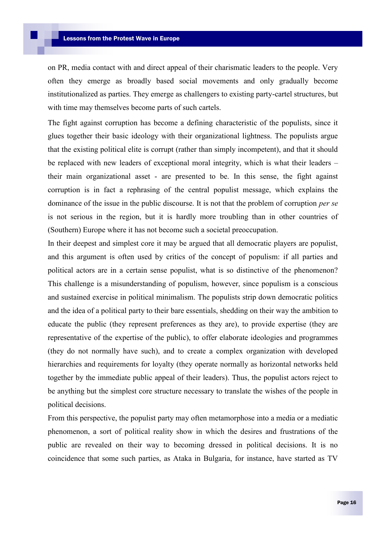on PR, media contact with and direct appeal of their charismatic leaders to the people. Very often they emerge as broadly based social movements and only gradually become institutionalized as parties. They emerge as challengers to existing party-cartel structures, but with time may themselves become parts of such cartels.

The fight against corruption has become a defining characteristic of the populists, since it glues together their basic ideology with their organizational lightness. The populists argue that the existing political elite is corrupt (rather than simply incompetent), and that it should be replaced with new leaders of exceptional moral integrity, which is what their leaders – their main organizational asset - are presented to be. In this sense, the fight against corruption is in fact a rephrasing of the central populist message, which explains the dominance of the issue in the public discourse. It is not that the problem of corruption *per se* is not serious in the region, but it is hardly more troubling than in other countries of (Southern) Europe where it has not become such a societal preoccupation.

In their deepest and simplest core it may be argued that all democratic players are populist, and this argument is often used by critics of the concept of populism: if all parties and political actors are in a certain sense populist, what is so distinctive of the phenomenon? This challenge is a misunderstanding of populism, however, since populism is a conscious and sustained exercise in political minimalism. The populists strip down democratic politics and the idea of a political party to their bare essentials, shedding on their way the ambition to educate the public (they represent preferences as they are), to provide expertise (they are representative of the expertise of the public), to offer elaborate ideologies and programmes (they do not normally have such), and to create a complex organization with developed hierarchies and requirements for loyalty (they operate normally as horizontal networks held together by the immediate public appeal of their leaders). Thus, the populist actors reject to be anything but the simplest core structure necessary to translate the wishes of the people in political decisions.

From this perspective, the populist party may often metamorphose into a media or a mediatic phenomenon, a sort of political reality show in which the desires and frustrations of the public are revealed on their way to becoming dressed in political decisions. It is no coincidence that some such parties, as Ataka in Bulgaria, for instance, have started as TV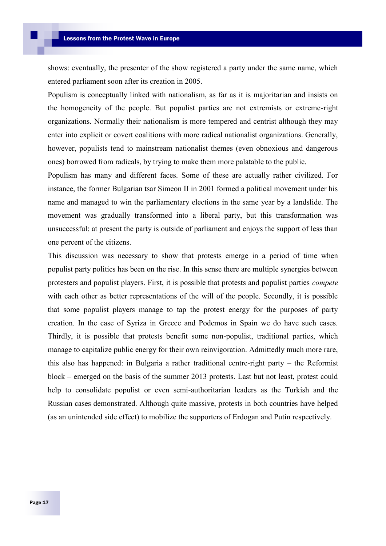shows: eventually, the presenter of the show registered a party under the same name, which entered parliament soon after its creation in 2005.

Populism is conceptually linked with nationalism, as far as it is majoritarian and insists on the homogeneity of the people. But populist parties are not extremists or extreme-right organizations. Normally their nationalism is more tempered and centrist although they may enter into explicit or covert coalitions with more radical nationalist organizations. Generally, however, populists tend to mainstream nationalist themes (even obnoxious and dangerous ones) borrowed from radicals, by trying to make them more palatable to the public.

Populism has many and different faces. Some of these are actually rather civilized. For instance, the former Bulgarian tsar Simeon II in 2001 formed a political movement under his name and managed to win the parliamentary elections in the same year by a landslide. The movement was gradually transformed into a liberal party, but this transformation was unsuccessful: at present the party is outside of parliament and enjoys the support of less than one percent of the citizens.

This discussion was necessary to show that protests emerge in a period of time when populist party politics has been on the rise. In this sense there are multiple synergies between protesters and populist players. First, it is possible that protests and populist parties *compete*  with each other as better representations of the will of the people. Secondly, it is possible that some populist players manage to tap the protest energy for the purposes of party creation. In the case of Syriza in Greece and Podemos in Spain we do have such cases. Thirdly, it is possible that protests benefit some non-populist, traditional parties, which manage to capitalize public energy for their own reinvigoration. Admittedly much more rare, this also has happened: in Bulgaria a rather traditional centre-right party – the Reformist block – emerged on the basis of the summer 2013 protests. Last but not least, protest could help to consolidate populist or even semi-authoritarian leaders as the Turkish and the Russian cases demonstrated. Although quite massive, protests in both countries have helped (as an unintended side effect) to mobilize the supporters of Erdogan and Putin respectively.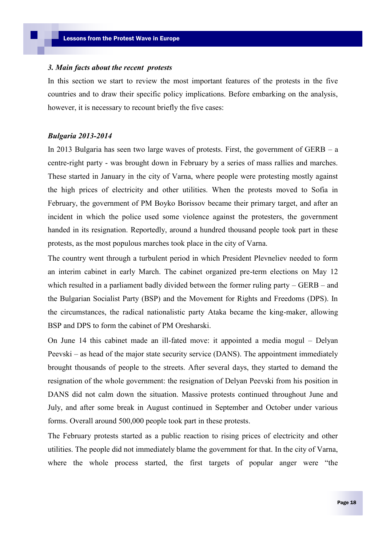#### *3. Main facts about the recent protests*

In this section we start to review the most important features of the protests in the five countries and to draw their specific policy implications. Before embarking on the analysis, however, it is necessary to recount briefly the five cases:

#### *Bulgaria 2013-2014*

In 2013 Bulgaria has seen two large waves of protests. First, the government of GERB – a centre-right party - was brought down in February by a series of mass rallies and marches. These started in January in the city of Varna, where people were protesting mostly against the high prices of electricity and other utilities. When the protests moved to Sofia in February, the government of PM Boyko Borissov became their primary target, and after an incident in which the police used some violence against the protesters, the government handed in its resignation. Reportedly, around a hundred thousand people took part in these protests, as the most populous marches took place in the city of Varna.

The country went through a turbulent period in which President Plevneliev needed to form an interim cabinet in early March. The cabinet organized pre-term elections on May 12 which resulted in a parliament badly divided between the former ruling party – GERB – and the Bulgarian Socialist Party (BSP) and the Movement for Rights and Freedoms (DPS). In the circumstances, the radical nationalistic party Ataka became the king-maker, allowing BSP and DPS to form the cabinet of PM Oresharski.

On June 14 this cabinet made an ill-fated move: it appointed a media mogul – Delyan Peevski – as head of the major state security service (DANS). The appointment immediately brought thousands of people to the streets. After several days, they started to demand the resignation of the whole government: the resignation of Delyan Peevski from his position in DANS did not calm down the situation. Massive protests continued throughout June and July, and after some break in August continued in September and October under various forms. Overall around 500,000 people took part in these protests.

The February protests started as a public reaction to rising prices of electricity and other utilities. The people did not immediately blame the government for that. In the city of Varna, where the whole process started, the first targets of popular anger were "the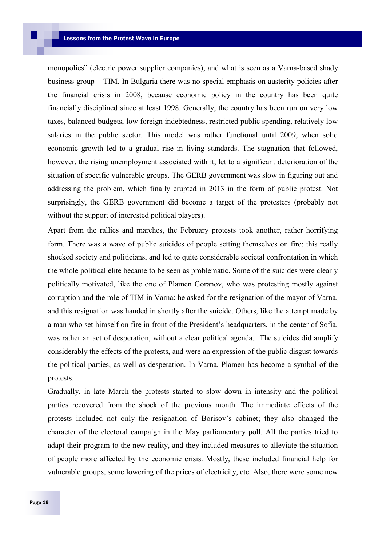monopolies" (electric power supplier companies), and what is seen as a Varna-based shady business group – TIM. In Bulgaria there was no special emphasis on austerity policies after the financial crisis in 2008, because economic policy in the country has been quite financially disciplined since at least 1998. Generally, the country has been run on very low taxes, balanced budgets, low foreign indebtedness, restricted public spending, relatively low salaries in the public sector. This model was rather functional until 2009, when solid economic growth led to a gradual rise in living standards. The stagnation that followed, however, the rising unemployment associated with it, let to a significant deterioration of the situation of specific vulnerable groups. The GERB government was slow in figuring out and addressing the problem, which finally erupted in 2013 in the form of public protest. Not surprisingly, the GERB government did become a target of the protesters (probably not without the support of interested political players).

Apart from the rallies and marches, the February protests took another, rather horrifying form. There was a wave of public suicides of people setting themselves on fire: this really shocked society and politicians, and led to quite considerable societal confrontation in which the whole political elite became to be seen as problematic. Some of the suicides were clearly politically motivated, like the one of Plamen Goranov, who was protesting mostly against corruption and the role of TIM in Varna: he asked for the resignation of the mayor of Varna, and this resignation was handed in shortly after the suicide. Others, like the attempt made by a man who set himself on fire in front of the President's headquarters, in the center of Sofia, was rather an act of desperation, without a clear political agenda. The suicides did amplify considerably the effects of the protests, and were an expression of the public disgust towards the political parties, as well as desperation. In Varna, Plamen has become a symbol of the protests.

Gradually, in late March the protests started to slow down in intensity and the political parties recovered from the shock of the previous month. The immediate effects of the protests included not only the resignation of Borisov's cabinet; they also changed the character of the electoral campaign in the May parliamentary poll. All the parties tried to adapt their program to the new reality, and they included measures to alleviate the situation of people more affected by the economic crisis. Mostly, these included financial help for vulnerable groups, some lowering of the prices of electricity, etc. Also, there were some new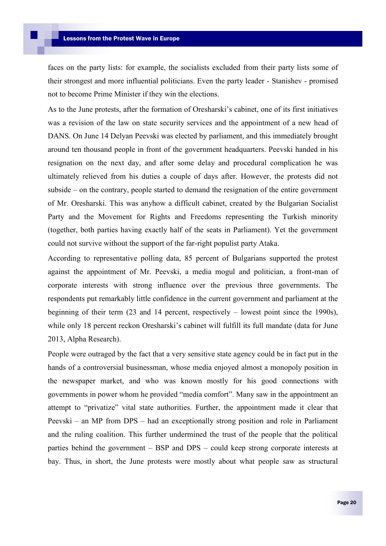faces on the party lists: for example, the socialists excluded from their party lists some of their strongest and more influential politicians. Even the party leader - Stanishev - promised not to become Prime Minister if they win the elections.

As to the June protests, after the formation of Oresharski's cabinet, one of its first initiatives was a revision of the law on state security services and the appointment of a new head of DANS. On June 14 Delyan Peevski was elected by parliament, and this immediately brought around ten thousand people in front of the government headquarters. Peevski handed in his resignation on the next day, and after some delay and procedural complication he was ultimately relieved from his duties a couple of days after. However, the protests did not subside – on the contrary, people started to demand the resignation of the entire government of Mr. Oresharski. This was anyhow a difficult cabinet, created by the Bulgarian Socialist Party and the Movement for Rights and Freedoms representing the Turkish minority (together, both parties having exactly half of the seats in Parliament). Yet the government could not survive without the support of the far-right populist party Ataka.

According to representative polling data, 85 percent of Bulgarians supported the protest against the appointment of Mr. Peevski, a media mogul and politician, a front-man of corporate interests with strong influence over the previous three governments. The respondents put remarkably little confidence in the current government and parliament at the beginning of their term (23 and 14 percent, respectively – lowest point since the 1990s), while only 18 percent reckon Oresharski's cabinet will fulfill its full mandate (data for June 2013, Alpha Research).

People were outraged by the fact that a very sensitive state agency could be in fact put in the hands of a controversial businessman, whose media enjoyed almost a monopoly position in the newspaper market, and who was known mostly for his good connections with governments in power whom he provided "media comfort". Many saw in the appointment an attempt to "privatize" vital state authorities. Further, the appointment made it clear that Peevski – an MP from DPS – had an exceptionally strong position and role in Parliament and the ruling coalition. This further undermined the trust of the people that the political parties behind the government – BSP and DPS – could keep strong corporate interests at bay. Thus, in short, the June protests were mostly about what people saw as structural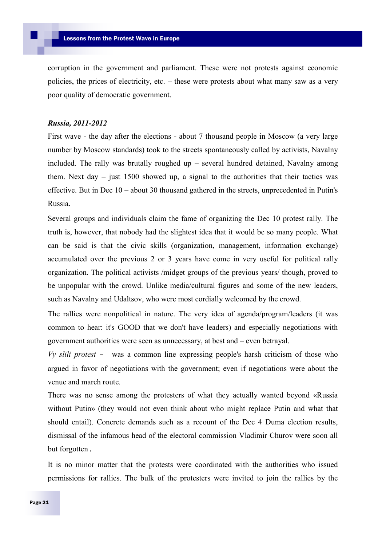corruption in the government and parliament. These were not protests against economic policies, the prices of electricity, etc. – these were protests about what many saw as a very poor quality of democratic government.

#### *Russia, 2011-2012*

First wave - the day after the elections - about 7 thousand people in Moscow (a very large number by Moscow standards) took to the streets spontaneously called by activists, Navalny included. The rally was brutally roughed up – several hundred detained, Navalny among them. Next day  $-$  just 1500 showed up, a signal to the authorities that their tactics was effective. But in Dec 10 – about 30 thousand gathered in the streets, unprecedented in Putin's Russia.

Several groups and individuals claim the fame of organizing the Dec 10 protest rally. The truth is, however, that nobody had the slightest idea that it would be so many people. What can be said is that the civic skills (organization, management, information exchange) accumulated over the previous 2 or 3 years have come in very useful for political rally organization. The political activists /midget groups of the previous years/ though, proved to be unpopular with the crowd. Unlike media/cultural figures and some of the new leaders, such as Navalny and Udaltsov, who were most cordially welcomed by the crowd.

The rallies were nonpolitical in nature. The very idea of agenda/program/leaders (it was common to hear: it's GOOD that we don't have leaders) and especially negotiations with government authorities were seen as unnecessary, at best and – even betrayal.

*Vy slili protest* – was a common line expressing people's harsh criticism of those who argued in favor of negotiations with the government; even if negotiations were about the venue and march route.

There was no sense among the protesters of what they actually wanted beyond «Russia without Putin» (they would not even think about who might replace Putin and what that should entail). Concrete demands such as a recount of the Dec 4 Duma election results, dismissal of the infamous head of the electoral commission Vladimir Churov were soon all but forgotten**.** 

It is no minor matter that the protests were coordinated with the authorities who issued permissions for rallies. The bulk of the protesters were invited to join the rallies by the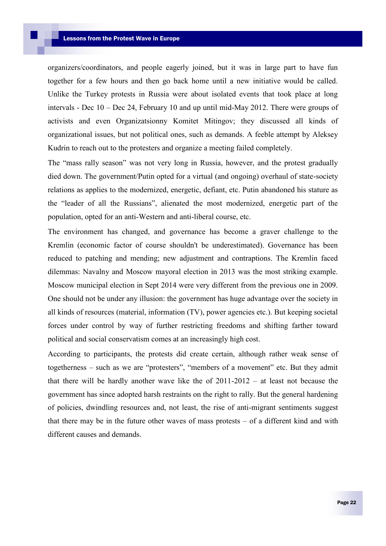organizers/coordinators, and people eagerly joined, but it was in large part to have fun together for a few hours and then go back home until a new initiative would be called. Unlike the Turkey protests in Russia were about isolated events that took place at long intervals - Dec 10 – Dec 24, February 10 and up until mid-May 2012. There were groups of activists and even Organizatsionny Komitet Mitingov; they discussed all kinds of organizational issues, but not political ones, such as demands. A feeble attempt by Aleksey Kudrin to reach out to the protesters and organize a meeting failed completely.

The "mass rally season" was not very long in Russia, however, and the protest gradually died down. The government/Putin opted for a virtual (and ongoing) overhaul of state-society relations as applies to the modernized, energetic, defiant, etc. Putin abandoned his stature as the "leader of all the Russians", alienated the most modernized, energetic part of the population, opted for an anti-Western and anti-liberal course, etc.

The environment has changed, and governance has become a graver challenge to the Kremlin (economic factor of course shouldn't be underestimated). Governance has been reduced to patching and mending; new adjustment and contraptions. The Kremlin faced dilemmas: Navalny and Moscow mayoral election in 2013 was the most striking example. Moscow municipal election in Sept 2014 were very different from the previous one in 2009. One should not be under any illusion: the government has huge advantage over the society in all kinds of resources (material, information (TV), power agencies etc.). But keeping societal forces under control by way of further restricting freedoms and shifting farther toward political and social conservatism comes at an increasingly high cost.

According to participants, the protests did create certain, although rather weak sense of togetherness – such as we are "protesters", "members of a movement" etc. But they admit that there will be hardly another wave like the of 2011-2012 – at least not because the government has since adopted harsh restraints on the right to rally. But the general hardening of policies, dwindling resources and, not least, the rise of anti-migrant sentiments suggest that there may be in the future other waves of mass protests – of a different kind and with different causes and demands.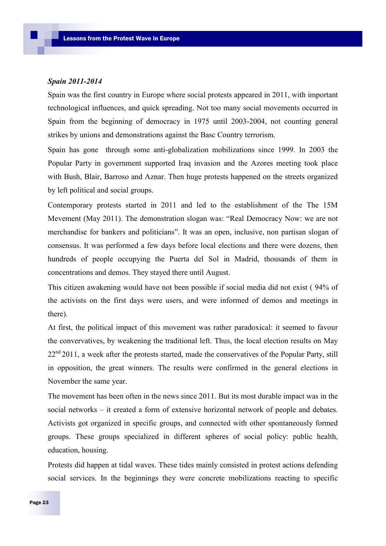#### *Spain 2011-2014*

Spain was the first country in Europe where social protests appeared in 2011, with important technological influences, and quick spreading. Not too many social movements occurred in Spain from the beginning of democracy in 1975 until 2003-2004, not counting general strikes by unions and demonstrations against the Basc Country terrorism.

Spain has gone through some anti-globalization mobilizations since 1999. In 2003 the Popular Party in government supported Iraq invasion and the Azores meeting took place with Bush, Blair, Barroso and Aznar. Then huge protests happened on the streets organized by left political and social groups.

Contemporary protests started in 2011 and led to the establishment of the The 15M Mevement (May 2011). The demonstration slogan was: "Real Democracy Now: we are not merchandise for bankers and politicians". It was an open, inclusive, non partisan slogan of consensus. It was performed a few days before local elections and there were dozens, then hundreds of people occupying the Puerta del Sol in Madrid, thousands of them in concentrations and demos. They stayed there until August.

This citizen awakening would have not been possible if social media did not exist ( 94% of the activists on the first days were users, and were informed of demos and meetings in there).

At first, the political impact of this movement was rather paradoxical: it seemed to favour the convervatives, by weakening the traditional left. Thus, the local election results on May 22<sup>nd</sup> 2011, a week after the protests started, made the conservatives of the Popular Party, still in opposition, the great winners. The results were confirmed in the general elections in November the same year.

The movement has been often in the news since 2011. But its most durable impact was in the social networks – it created a form of extensive horizontal network of people and debates. Activists got organized in specific groups, and connected with other spontaneously formed groups. These groups specialized in different spheres of social policy: public health, education, housing.

Protests did happen at tidal waves. These tides mainly consisted in protest actions defending social services. In the beginnings they were concrete mobilizations reacting to specific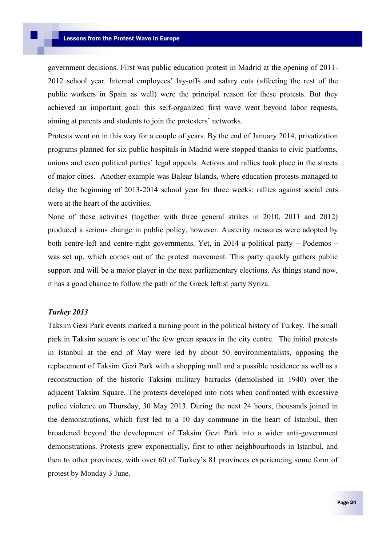government decisions. First was public education protest in Madrid at the opening of 2011- 2012 school year. Internal employees' lay-offs and salary cuts (affecting the rest of the public workers in Spain as well) were the principal reason for these protests. But they achieved an important goal: this self-organized first wave went beyond labor requests, aiming at parents and students to join the protesters' networks.

Protests went on in this way for a couple of years. By the end of January 2014, privatization programs planned for six public hospitals in Madrid were stopped thanks to civic platforms, unions and even political parties' legal appeals. Actions and rallies took place in the streets of major cities. Another example was Balear Islands, where education protests managed to delay the beginning of 2013-2014 school year for three weeks: rallies against social cuts were at the heart of the activities.

None of these activities (together with three general strikes in 2010, 2011 and 2012) produced a serious change in public policy, however. Austerity measures were adopted by both centre-left and centre-right governments. Yet, in 2014 a political party – Podemos – was set up, which comes out of the protest movement. This party quickly gathers public support and will be a major player in the next parliamentary elections. As things stand now, it has a good chance to follow the path of the Greek leftist party Syriza.

#### *Turkey 2013*

Taksim Gezi Park events marked a turning point in the political history of Turkey. The small park in Taksim square is one of the few green spaces in the city centre. The initial protests in Istanbul at the end of May were led by about 50 environmentalists, opposing the replacement of Taksim Gezi Park with a shopping mall and a possible residence as well as a reconstruction of the historic Taksim military barracks (demolished in 1940) over the adjacent Taksim Square. The protests developed into riots when confronted with excessive police violence on Thursday, 30 May 2013. During the next 24 hours, thousands joined in the demonstrations, which first led to a 10 day commune in the heart of Istanbul, then broadened beyond the development of Taksim Gezi Park into a wider anti-government demonstrations. Protests grew exponentially, first to other neighbourhoods in Istanbul, and then to other provinces, with over 60 of Turkey's 81 provinces experiencing some form of protest by Monday 3 June.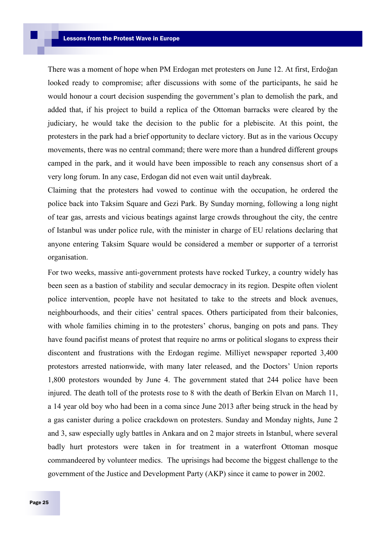There was a moment of hope when PM Erdogan met protesters on June 12. At first, Erdoğan looked ready to compromise; after discussions with some of the participants, he said he would honour a court decision suspending the government's plan to demolish the park, and added that, if his project to build a replica of the Ottoman barracks were cleared by the judiciary, he would take the decision to the public for a plebiscite. At this point, the protesters in the park had a brief opportunity to declare victory. But as in the various Occupy movements, there was no central command; there were more than a hundred different groups camped in the park, and it would have been impossible to reach any consensus short of a very long forum. In any case, Erdogan did not even wait until daybreak.

Claiming that the protesters had vowed to continue with the occupation, he ordered the police back into Taksim Square and Gezi Park. By Sunday morning, following a long night of tear gas, arrests and vicious beatings against large crowds throughout the city, the centre of Istanbul was under police rule, with the minister in charge of EU relations declaring that anyone entering Taksim Square would be considered a member or supporter of a terrorist organisation.

For two weeks, massive anti-government protests have rocked Turkey, a country widely has been seen as a bastion of stability and secular democracy in its region. Despite often violent police intervention, people have not hesitated to take to the streets and block avenues, neighbourhoods, and their cities' central spaces. Others participated from their balconies, with whole families chiming in to the protesters' chorus, banging on pots and pans. They have found pacifist means of protest that require no arms or political slogans to express their discontent and frustrations with the Erdogan regime. Milliyet newspaper reported 3,400 protestors arrested nationwide, with many later released, and the Doctors' Union reports 1,800 protestors wounded by June 4. The government stated that 244 police have been injured. The death toll of the protests rose to 8 with the death of Berkin Elvan on March 11, a 14 year old boy who had been in a coma since June 2013 after being struck in the head by a gas canister during a police crackdown on protesters. Sunday and Monday nights, June 2 and 3, saw especially ugly battles in Ankara and on 2 major streets in Istanbul, where several badly hurt protestors were taken in for treatment in a waterfront Ottoman mosque commandeered by volunteer medics. The uprisings had become the biggest challenge to the government of the Justice and Development Party (AKP) since it came to power in 2002.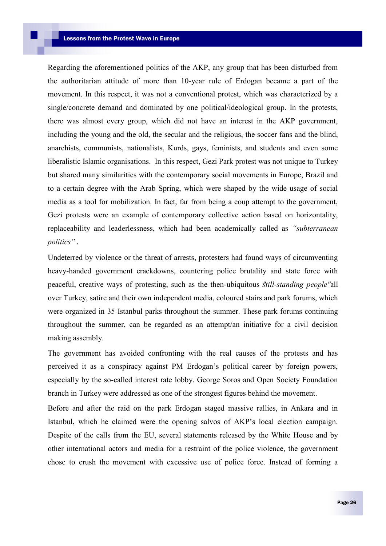Regarding the aforementioned politics of the AKP, any group that has been disturbed from the authoritarian attitude of more than 10-year rule of Erdogan became a part of the movement. In this respect, it was not a conventional protest, which was characterized by a single/concrete demand and dominated by one political/ideological group. In the protests, there was almost every group, which did not have an interest in the AKP government, including the young and the old, the secular and the religious, the soccer fans and the blind, anarchists, communists, nationalists, Kurds, gays, feminists, and students and even some liberalistic Islamic organisations. In this respect, Gezi Park protest was not unique to Turkey but shared many similarities with the contemporary social movements in Europe, Brazil and to a certain degree with the Arab Spring, which were shaped by the wide usage of social media as a tool for mobilization. In fact, far from being a coup attempt to the government, Gezi protests were an example of contemporary collective action based on horizontality, replaceability and leaderlessness, which had been academically called as *"subterranean politics"*.

Undeterred by violence or the threat of arrests, protesters had found ways of circumventing heavy-handed government crackdowns, countering police brutality and state force with peaceful, creative ways of protesting, such as the then-ubiquitous *"still-standing people"*all over Turkey, satire and their own independent media, coloured stairs and park forums, which were organized in 35 Istanbul parks throughout the summer. These park forums continuing throughout the summer, can be regarded as an attempt/an initiative for a civil decision making assembly.

The government has avoided confronting with the real causes of the protests and has perceived it as a conspiracy against PM Erdogan's political career by foreign powers, especially by the so-called interest rate lobby. George Soros and Open Society Foundation branch in Turkey were addressed as one of the strongest figures behind the movement.

Before and after the raid on the park Erdogan staged massive rallies, in Ankara and in Istanbul, which he claimed were the opening salvos of AKP's local election campaign. Despite of the calls from the EU, several statements released by the White House and by other international actors and media for a restraint of the police violence, the government chose to crush the movement with excessive use of police force. Instead of forming a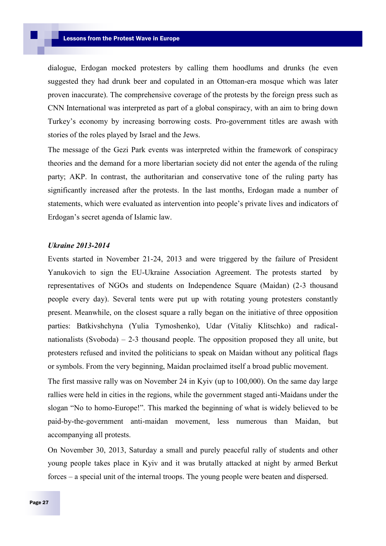dialogue, Erdogan mocked protesters by calling them hoodlums and drunks (he even suggested they had drunk beer and copulated in an Ottoman-era mosque which was later proven inaccurate). The comprehensive coverage of the protests by the foreign press such as CNN International was interpreted as part of a global conspiracy, with an aim to bring down Turkey's economy by increasing borrowing costs. Pro-government titles are awash with stories of the roles played by Israel and the Jews.

The message of the Gezi Park events was interpreted within the framework of conspiracy theories and the demand for a more libertarian society did not enter the agenda of the ruling party; AKP. In contrast, the authoritarian and conservative tone of the ruling party has significantly increased after the protests. In the last months, Erdogan made a number of statements, which were evaluated as intervention into people's private lives and indicators of Erdogan's secret agenda of Islamic law.

#### *Ukraine 2013-2014*

Events started in November 21-24, 2013 and were triggered by the failure of President Yanukovich to sign the EU-Ukraine Association Agreement. The protests started by representatives of NGOs and students on Independence Square (Maidan) (2-3 thousand people every day). Several tents were put up with rotating young protesters constantly present. Meanwhile, on the closest square a rally began on the initiative of three opposition parties: Batkivshchyna (Yulia Tymoshenko), Udar (Vitaliy Klitschko) and radicalnationalists (Svoboda)  $-2-3$  thousand people. The opposition proposed they all unite, but protesters refused and invited the politicians to speak on Maidan without any political flags or symbols. From the very beginning, Maidan proclaimed itself a broad public movement.

The first massive rally was on November 24 in Kyiv (up to 100,000). On the same day large rallies were held in cities in the regions, while the government staged anti-Maidans under the slogan "No to homo-Europe!". This marked the beginning of what is widely believed to be paid-by-the-government anti-maidan movement, less numerous than Maidan, but accompanying all protests.

On November 30, 2013, Saturday a small and purely peaceful rally of students and other young people takes place in Kyiv and it was brutally attacked at night by armed Berkut forces – a special unit of the internal troops. The young people were beaten and dispersed.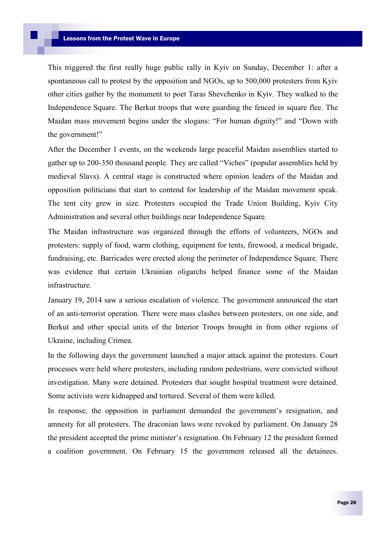This triggered the first really huge public rally in Kyiv on Sunday, December 1: after a spontaneous call to protest by the opposition and NGOs, up to 500,000 protesters from Kyiv other cities gather by the monument to poet Taras Shevchenko in Kyiv. They walked to the Independence Square. The Berkut troops that were guarding the fenced in square flee. The Maidan mass movement begins under the slogans: "For human dignity!" and "Down with the government!"

After the December 1 events, on the weekends large peaceful Maidan assemblies started to gather up to 200-350 thousand people. They are called "Viches" (popular assemblies held by medieval Slavs). A central stage is constructed where opinion leaders of the Maidan and opposition politicians that start to contend for leadership of the Maidan movement speak. The tent city grew in size. Protesters occupied the Trade Union Building, Kyiv City Administration and several other buildings near Independence Square.

The Maidan infrastructure was organized through the efforts of volunteers, NGOs and protesters: supply of food, warm clothing, equipment for tents, firewood, a medical brigade, fundraising, etc. Barricades were erected along the perimeter of Independence Square. There was evidence that certain Ukrainian oligarchs helped finance some of the Maidan infrastructure.

January 19, 2014 saw a serious escalation of violence. The government announced the start of an anti-terrorist operation. There were mass clashes between protesters, on one side, and Berkut and other special units of the Interior Troops brought in from other regions of Ukraine, including Crimea.

In the following days the government launched a major attack against the protesters. Court processes were held where protesters, including random pedestrians, were convicted without investigation. Many were detained. Protesters that sought hospital treatment were detained. Some activists were kidnapped and tortured. Several of them were killed.

In response, the opposition in parliament demanded the government's resignation, and amnesty for all protesters. The draconian laws were revoked by parliament. On January 28 the president accepted the prime minister's resignation. On February 12 the president formed a coalition government. On February 15 the government released all the detainees.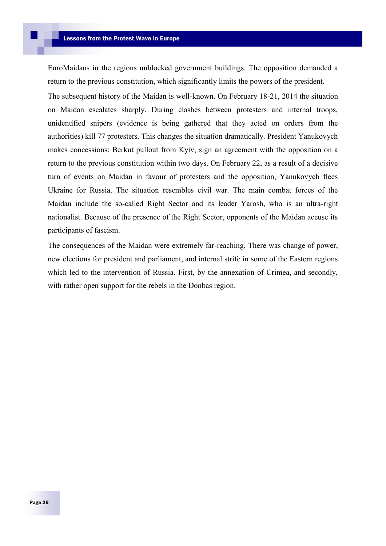EuroMaidans in the regions unblocked government buildings. The opposition demanded a return to the previous constitution, which significantly limits the powers of the president.

The subsequent history of the Maidan is well-known. On February 18-21, 2014 the situation on Maidan escalates sharply. During clashes between protesters and internal troops, unidentified snipers (evidence is being gathered that they acted on orders from the authorities) kill 77 protesters. This changes the situation dramatically. President Yanukovych makes concessions: Berkut pullout from Kyiv, sign an agreement with the opposition on a return to the previous constitution within two days. On February 22, as a result of a decisive turn of events on Maidan in favour of protesters and the opposition, Yanukovych flees Ukraine for Russia. The situation resembles civil war. The main combat forces of the Maidan include the so-called Right Sector and its leader Yarosh, who is an ultra-right nationalist. Because of the presence of the Right Sector, opponents of the Maidan accuse its participants of fascism.

The consequences of the Maidan were extremely far-reaching. There was change of power, new elections for president and parliament, and internal strife in some of the Eastern regions which led to the intervention of Russia. First, by the annexation of Crimea, and secondly, with rather open support for the rebels in the Donbas region.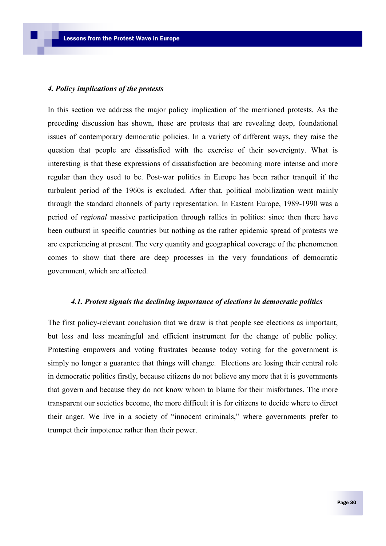#### *4. Policy implications of the protests*

In this section we address the major policy implication of the mentioned protests. As the preceding discussion has shown, these are protests that are revealing deep, foundational issues of contemporary democratic policies. In a variety of different ways, they raise the question that people are dissatisfied with the exercise of their sovereignty. What is interesting is that these expressions of dissatisfaction are becoming more intense and more regular than they used to be. Post-war politics in Europe has been rather tranquil if the turbulent period of the 1960s is excluded. After that, political mobilization went mainly through the standard channels of party representation. In Eastern Europe, 1989-1990 was a period of *regional* massive participation through rallies in politics: since then there have been outburst in specific countries but nothing as the rather epidemic spread of protests we are experiencing at present. The very quantity and geographical coverage of the phenomenon comes to show that there are deep processes in the very foundations of democratic government, which are affected.

#### *4.1. Protest signals the declining importance of elections in democratic politics*

The first policy-relevant conclusion that we draw is that people see elections as important, but less and less meaningful and efficient instrument for the change of public policy. Protesting empowers and voting frustrates because today voting for the government is simply no longer a guarantee that things will change. Elections are losing their central role in democratic politics firstly, because citizens do not believe any more that it is governments that govern and because they do not know whom to blame for their misfortunes. The more transparent our societies become, the more difficult it is for citizens to decide where to direct their anger. We live in a society of "innocent criminals," where governments prefer to trumpet their impotence rather than their power.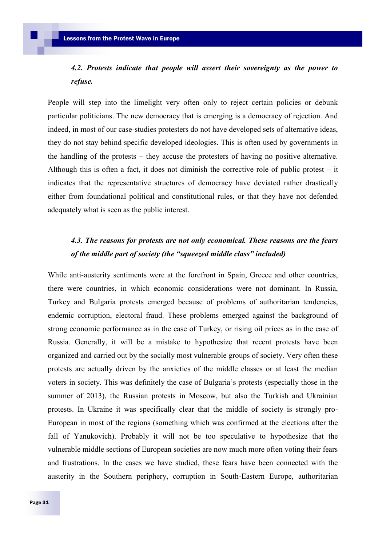### *4.2. Protests indicate that people will assert their sovereignty as the power to refuse.*

People will step into the limelight very often only to reject certain policies or debunk particular politicians. The new democracy that is emerging is a democracy of rejection. And indeed, in most of our case-studies protesters do not have developed sets of alternative ideas, they do not stay behind specific developed ideologies. This is often used by governments in the handling of the protests – they accuse the protesters of having no positive alternative. Although this is often a fact, it does not diminish the corrective role of public protest  $-$  it indicates that the representative structures of democracy have deviated rather drastically either from foundational political and constitutional rules, or that they have not defended adequately what is seen as the public interest.

### *4.3. The reasons for protests are not only economical. These reasons are the fears of the middle part of society (the "squeezed middle class" included)*

While anti-austerity sentiments were at the forefront in Spain, Greece and other countries, there were countries, in which economic considerations were not dominant. In Russia, Turkey and Bulgaria protests emerged because of problems of authoritarian tendencies, endemic corruption, electoral fraud. These problems emerged against the background of strong economic performance as in the case of Turkey, or rising oil prices as in the case of Russia. Generally, it will be a mistake to hypothesize that recent protests have been organized and carried out by the socially most vulnerable groups of society. Very often these protests are actually driven by the anxieties of the middle classes or at least the median voters in society. This was definitely the case of Bulgaria's protests (especially those in the summer of 2013), the Russian protests in Moscow, but also the Turkish and Ukrainian protests. In Ukraine it was specifically clear that the middle of society is strongly pro-European in most of the regions (something which was confirmed at the elections after the fall of Yanukovich). Probably it will not be too speculative to hypothesize that the vulnerable middle sections of European societies are now much more often voting their fears and frustrations. In the cases we have studied, these fears have been connected with the austerity in the Southern periphery, corruption in South-Eastern Europe, authoritarian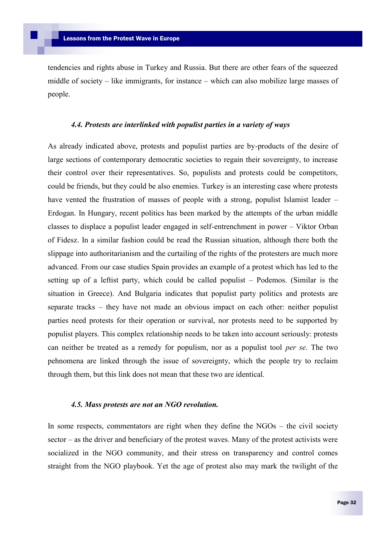tendencies and rights abuse in Turkey and Russia. But there are other fears of the squeezed middle of society – like immigrants, for instance – which can also mobilize large masses of people.

#### *4.4. Protests are interlinked with populist parties in a variety of ways*

As already indicated above, protests and populist parties are by-products of the desire of large sections of contemporary democratic societies to regain their sovereignty, to increase their control over their representatives. So, populists and protests could be competitors, could be friends, but they could be also enemies. Turkey is an interesting case where protests have vented the frustration of masses of people with a strong, populist Islamist leader – Erdogan. In Hungary, recent politics has been marked by the attempts of the urban middle classes to displace a populist leader engaged in self-entrenchment in power – Viktor Orban of Fidesz. In a similar fashion could be read the Russian situation, although there both the slippage into authoritarianism and the curtailing of the rights of the protesters are much more advanced. From our case studies Spain provides an example of a protest which has led to the setting up of a leftist party, which could be called populist – Podemos. (Similar is the situation in Greece). And Bulgaria indicates that populist party politics and protests are separate tracks – they have not made an obvious impact on each other: neither populist parties need protests for their operation or survival, nor protests need to be supported by populist players. This complex relationship needs to be taken into account seriously: protests can neither be treated as a remedy for populism, nor as a populist tool *per se*. The two pehnomena are linked through the issue of sovereignty, which the people try to reclaim through them, but this link does not mean that these two are identical.

#### *4.5. Mass protests are not an NGO revolution.*

In some respects, commentators are right when they define the NGOs – the civil society sector – as the driver and beneficiary of the protest waves. Many of the protest activists were socialized in the NGO community, and their stress on transparency and control comes straight from the NGO playbook. Yet the age of protest also may mark the twilight of the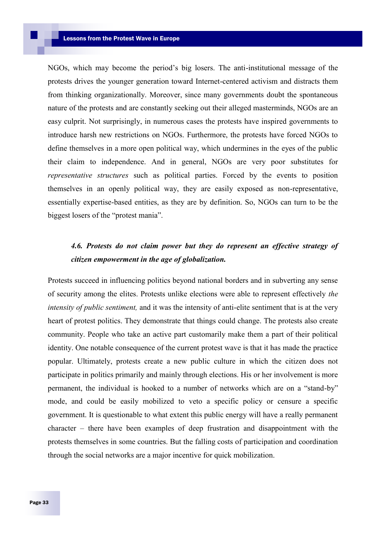NGOs, which may become the period's big losers. The anti-institutional message of the protests drives the younger generation toward Internet-centered activism and distracts them from thinking organizationally. Moreover, since many governments doubt the spontaneous nature of the protests and are constantly seeking out their alleged masterminds, NGOs are an easy culprit. Not surprisingly, in numerous cases the protests have inspired governments to introduce harsh new restrictions on NGOs. Furthermore, the protests have forced NGOs to define themselves in a more open political way, which undermines in the eyes of the public their claim to independence. And in general, NGOs are very poor substitutes for *representative structures* such as political parties. Forced by the events to position themselves in an openly political way, they are easily exposed as non-representative, essentially expertise-based entities, as they are by definition. So, NGOs can turn to be the biggest losers of the "protest mania".

## *4.6. Protests do not claim power but they do represent an effective strategy of citizen empowerment in the age of globalization.*

Protests succeed in influencing politics beyond national borders and in subverting any sense of security among the elites. Protests unlike elections were able to represent effectively *the intensity of public sentiment,* and it was the intensity of anti-elite sentiment that is at the very heart of protest politics. They demonstrate that things could change. The protests also create community. People who take an active part customarily make them a part of their political identity. One notable consequence of the current protest wave is that it has made the practice popular. Ultimately, protests create a new public culture in which the citizen does not participate in politics primarily and mainly through elections. His or her involvement is more permanent, the individual is hooked to a number of networks which are on a "stand-by" mode, and could be easily mobilized to veto a specific policy or censure a specific government. It is questionable to what extent this public energy will have a really permanent character – there have been examples of deep frustration and disappointment with the protests themselves in some countries. But the falling costs of participation and coordination through the social networks are a major incentive for quick mobilization.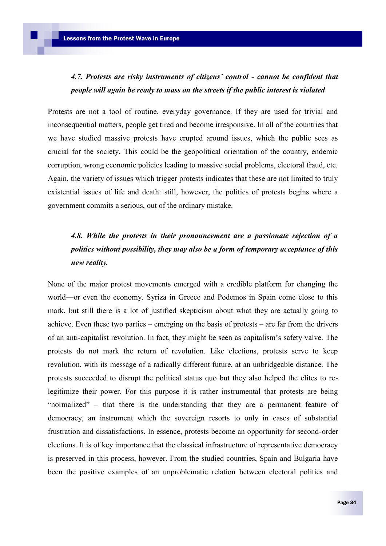## *4.7. Protests are risky instruments of citizens' control - cannot be confident that people will again be ready to mass on the streets if the public interest is violated*

Protests are not a tool of routine, everyday governance. If they are used for trivial and inconsequential matters, people get tired and become irresponsive. In all of the countries that we have studied massive protests have erupted around issues, which the public sees as crucial for the society. This could be the geopolitical orientation of the country, endemic corruption, wrong economic policies leading to massive social problems, electoral fraud, etc. Again, the variety of issues which trigger protests indicates that these are not limited to truly existential issues of life and death: still, however, the politics of protests begins where a government commits a serious, out of the ordinary mistake.

## *4.8. While the protests in their pronouncement are a passionate rejection of a politics without possibility, they may also be a form of temporary acceptance of this new reality.*

None of the major protest movements emerged with a credible platform for changing the world—or even the economy. Syriza in Greece and Podemos in Spain come close to this mark, but still there is a lot of justified skepticism about what they are actually going to achieve. Even these two parties – emerging on the basis of protests – are far from the drivers of an anti-capitalist revolution. In fact, they might be seen as capitalism's safety valve. The protests do not mark the return of revolution. Like elections, protests serve to keep revolution, with its message of a radically different future, at an unbridgeable distance. The protests succeeded to disrupt the political status quo but they also helped the elites to relegitimize their power. For this purpose it is rather instrumental that protests are being "normalized" – that there is the understanding that they are a permanent feature of democracy, an instrument which the sovereign resorts to only in cases of substantial frustration and dissatisfactions. In essence, protests become an opportunity for second-order elections. It is of key importance that the classical infrastructure of representative democracy is preserved in this process, however. From the studied countries, Spain and Bulgaria have been the positive examples of an unproblematic relation between electoral politics and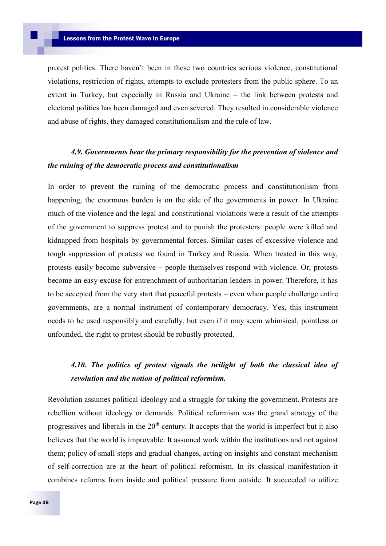protest politics. There haven't been in these two countries serious violence, constitutional violations, restriction of rights, attempts to exclude protesters from the public sphere. To an extent in Turkey, but especially in Russia and Ukraine – the link between protests and electoral politics has been damaged and even severed. They resulted in considerable violence and abuse of rights, they damaged constitutionalism and the rule of law.

### *4.9. Governments bear the primary responsibility for the prevention of violence and the ruining of the democratic process and constitutionalism*

In order to prevent the ruining of the democratic process and constitutionlism from happening, the enormous burden is on the side of the governments in power. In Ukraine much of the violence and the legal and constitutional violations were a result of the attempts of the government to suppress protest and to punish the protesters: people were killed and kidnapped from hospitals by governmental forces. Similar cases of excessive violence and tough suppression of protests we found in Turkey and Russia. When treated in this way, protests easily become subversive – people themselves respond with violence. Or, protests become an easy excuse for entrenchment of authoritarian leaders in power. Therefore, it has to be accepted from the very start that peaceful protests – even when people challenge entire governments, are a normal instrument of contemporary democracy. Yes, this instrument needs to be used responsibly and carefully, but even if it may seem whimsical, pointless or unfounded, the right to protest should be robustly protected.

### *4.10. The politics of protest signals the twilight of both the classical idea of revolution and the notion of political reformism.*

Revolution assumes political ideology and a struggle for taking the government. Protests are rebellion without ideology or demands. Political reformism was the grand strategy of the progressives and liberals in the  $20<sup>th</sup>$  century. It accepts that the world is imperfect but it also believes that the world is improvable. It assumed work within the institutions and not against them; policy of small steps and gradual changes, acting on insights and constant mechanism of self-correction are at the heart of political reformism. In its classical manifestation it combines reforms from inside and political pressure from outside. It succeeded to utilize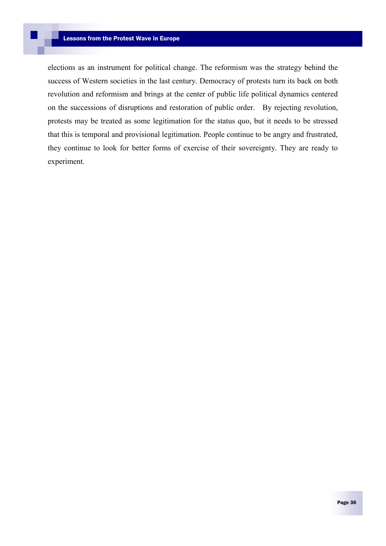elections as an instrument for political change. The reformism was the strategy behind the success of Western societies in the last century. Democracy of protests turn its back on both revolution and reformism and brings at the center of public life political dynamics centered on the successions of disruptions and restoration of public order. By rejecting revolution, protests may be treated as some legitimation for the status quo, but it needs to be stressed that this is temporal and provisional legitimation. People continue to be angry and frustrated, they continue to look for better forms of exercise of their sovereignty. They are ready to experiment.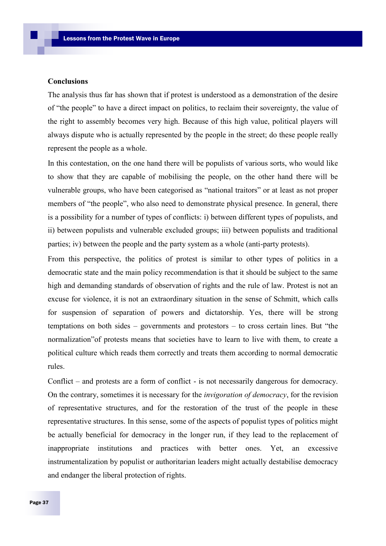#### **Conclusions**

The analysis thus far has shown that if protest is understood as a demonstration of the desire of "the people" to have a direct impact on politics, to reclaim their sovereignty, the value of the right to assembly becomes very high. Because of this high value, political players will always dispute who is actually represented by the people in the street; do these people really represent the people as a whole.

In this contestation, on the one hand there will be populists of various sorts, who would like to show that they are capable of mobilising the people, on the other hand there will be vulnerable groups, who have been categorised as "national traitors" or at least as not proper members of "the people", who also need to demonstrate physical presence. In general, there is a possibility for a number of types of conflicts: i) between different types of populists, and ii) between populists and vulnerable excluded groups; iii) between populists and traditional parties; iv) between the people and the party system as a whole (anti-party protests).

From this perspective, the politics of protest is similar to other types of politics in a democratic state and the main policy recommendation is that it should be subject to the same high and demanding standards of observation of rights and the rule of law. Protest is not an excuse for violence, it is not an extraordinary situation in the sense of Schmitt, which calls for suspension of separation of powers and dictatorship. Yes, there will be strong temptations on both sides – governments and protestors – to cross certain lines. But "the normalization"of protests means that societies have to learn to live with them, to create a political culture which reads them correctly and treats them according to normal democratic rules.

Conflict – and protests are a form of conflict - is not necessarily dangerous for democracy. On the contrary, sometimes it is necessary for the *invigoration of democracy*, for the revision of representative structures, and for the restoration of the trust of the people in these representative structures. In this sense, some of the aspects of populist types of politics might be actually beneficial for democracy in the longer run, if they lead to the replacement of inappropriate institutions and practices with better ones. Yet, an excessive instrumentalization by populist or authoritarian leaders might actually destabilise democracy and endanger the liberal protection of rights.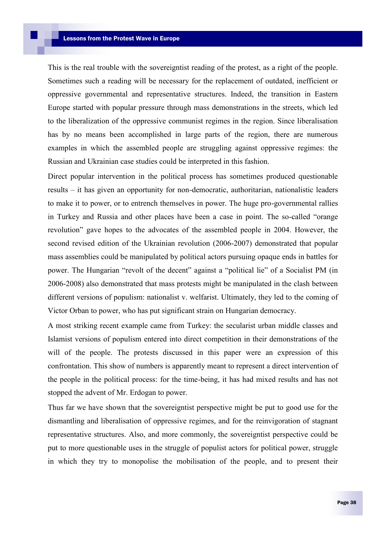This is the real trouble with the sovereigntist reading of the protest, as a right of the people. Sometimes such a reading will be necessary for the replacement of outdated, inefficient or oppressive governmental and representative structures. Indeed, the transition in Eastern Europe started with popular pressure through mass demonstrations in the streets, which led to the liberalization of the oppressive communist regimes in the region. Since liberalisation has by no means been accomplished in large parts of the region, there are numerous examples in which the assembled people are struggling against oppressive regimes: the Russian and Ukrainian case studies could be interpreted in this fashion.

Direct popular intervention in the political process has sometimes produced questionable results – it has given an opportunity for non-democratic, authoritarian, nationalistic leaders to make it to power, or to entrench themselves in power. The huge pro-governmental rallies in Turkey and Russia and other places have been a case in point. The so-called "orange revolution" gave hopes to the advocates of the assembled people in 2004. However, the second revised edition of the Ukrainian revolution (2006-2007) demonstrated that popular mass assemblies could be manipulated by political actors pursuing opaque ends in battles for power. The Hungarian "revolt of the decent" against a "political lie" of a Socialist PM (in 2006-2008) also demonstrated that mass protests might be manipulated in the clash between different versions of populism: nationalist v. welfarist. Ultimately, they led to the coming of Victor Orban to power, who has put significant strain on Hungarian democracy.

A most striking recent example came from Turkey: the secularist urban middle classes and Islamist versions of populism entered into direct competition in their demonstrations of the will of the people. The protests discussed in this paper were an expression of this confrontation. This show of numbers is apparently meant to represent a direct intervention of the people in the political process: for the time-being, it has had mixed results and has not stopped the advent of Mr. Erdogan to power.

Thus far we have shown that the sovereigntist perspective might be put to good use for the dismantling and liberalisation of oppressive regimes, and for the reinvigoration of stagnant representative structures. Also, and more commonly, the sovereigntist perspective could be put to more questionable uses in the struggle of populist actors for political power, struggle in which they try to monopolise the mobilisation of the people, and to present their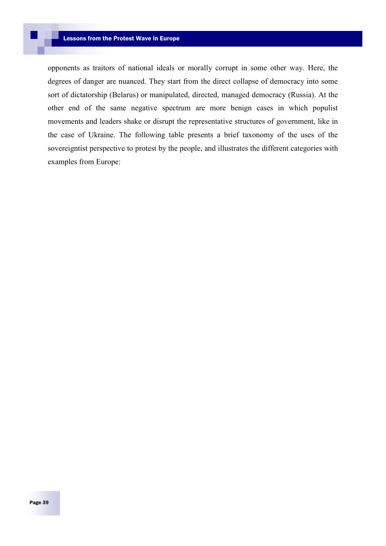#### Lessons from the Protest Wave in Europe

opponents as traitors of national ideals or morally corrupt in some other way. Here, the degrees of danger are nuanced. They start from the direct collapse of democracy into some sort of dictatorship (Belarus) or manipulated, directed, managed democracy (Russia). At the other end of the same negative spectrum are more benign cases in which populist movements and leaders shake or disrupt the representative structures of government, like in the case of Ukraine. The following table presents a brief taxonomy of the uses of the sovereigntist perspective to protest by the people, and illustrates the different categories with examples from Europe: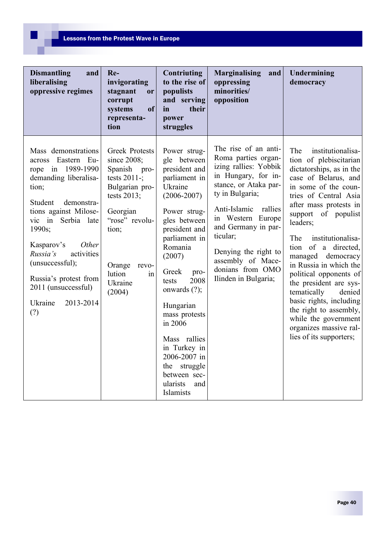Lessons from the Protest Wave in Europe

п

| <b>Dismantling</b><br>and<br>liberalising<br>oppressive regimes                                                                                                                                                                                                                                                                             | Re-<br>invigorating<br>stagnant<br><b>or</b><br>corrupt<br>systems<br>of<br>representa-<br>tion                                                                                                               | Contriuting<br>to the rise of<br>populists<br>and serving<br>their<br>in<br>power<br>struggles                                                                                                                                                                                                                                                                                                | <b>Marginalising</b><br>and<br>oppressing<br>minorities/<br>opposition                                                                                                                                                                                                                                              | Undermining<br>democracy                                                                                                                                                                                                                                                                                                                                                                                                                                                                                                                    |
|---------------------------------------------------------------------------------------------------------------------------------------------------------------------------------------------------------------------------------------------------------------------------------------------------------------------------------------------|---------------------------------------------------------------------------------------------------------------------------------------------------------------------------------------------------------------|-----------------------------------------------------------------------------------------------------------------------------------------------------------------------------------------------------------------------------------------------------------------------------------------------------------------------------------------------------------------------------------------------|---------------------------------------------------------------------------------------------------------------------------------------------------------------------------------------------------------------------------------------------------------------------------------------------------------------------|---------------------------------------------------------------------------------------------------------------------------------------------------------------------------------------------------------------------------------------------------------------------------------------------------------------------------------------------------------------------------------------------------------------------------------------------------------------------------------------------------------------------------------------------|
| Mass demonstrations<br>Eastern<br>Eu-<br>across<br>rope in 1989-1990<br>demanding liberalisa-<br>tion;<br>Student<br>demonstra-<br>tions against Milose-<br>vic in Serbia late<br>1990s;<br>Kasparov's<br>Other<br>Russia's<br>activities<br>(unsuccessful);<br>Russia's protest from<br>2011 (unsuccessful)<br>Ukraine<br>2013-2014<br>(?) | <b>Greek Protests</b><br>since 2008;<br>Spanish<br>pro-<br>tests $2011$ -;<br>Bulgarian pro-<br>tests $2013$ ;<br>Georgian<br>"rose" revolu-<br>tion;<br>Orange<br>revo-<br>lution<br>in<br>Ukraine<br>(2004) | Power strug-<br>gle between<br>president and<br>parliament in<br>Ukraine<br>$(2006 - 2007)$<br>Power strug-<br>gles between<br>president and<br>parliament in<br>Romania<br>(2007)<br>Greek<br>pro-<br>2008<br>tests<br>onwards (?);<br>Hungarian<br>mass protests<br>in 2006<br>Mass rallies<br>in Turkey in<br>2006-2007 in<br>the struggle<br>between sec-<br>ularists<br>and<br>Islamists | The rise of an anti-<br>Roma parties organ-<br>izing rallies: Yobbik<br>in Hungary, for in-<br>stance, or Ataka par-<br>ty in Bulgaria;<br>Anti-Islamic<br>rallies<br>in Western Europe<br>and Germany in par-<br>ticular;<br>Denying the right to<br>assembly of Mace-<br>donians from OMO<br>Ilinden in Bulgaria; | The<br>institutionalisa-<br>tion of plebiscitarian<br>dictatorships, as in the<br>case of Belarus, and<br>in some of the coun-<br>tries of Central Asia<br>after mass protests in<br>support<br>of populist<br>leaders;<br>The<br>institutionalisa-<br>of a directed,<br>tion<br>managed democracy<br>in Russia in which the<br>political opponents of<br>the president are sys-<br>tematically<br>denied<br>basic rights, including<br>the right to assembly,<br>while the government<br>organizes massive ral-<br>lies of its supporters; |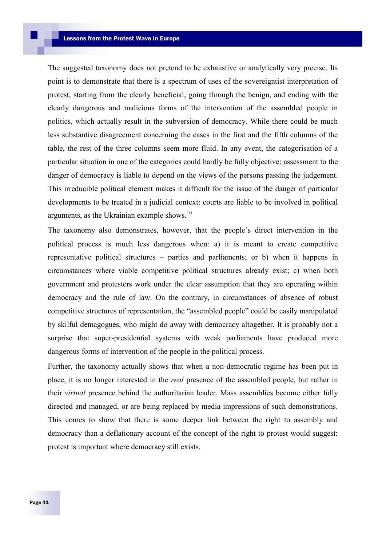The suggested taxonomy does not pretend to be exhaustive or analytically very precise. Its point is to demonstrate that there is a spectrum of uses of the sovereigntist interpretation of protest, starting from the clearly beneficial, going through the benign, and ending with the clearly dangerous and malicious forms of the intervention of the assembled people in politics, which actually result in the subversion of democracy. While there could be much less substantive disagreement concerning the cases in the first and the fifth columns of the table, the rest of the three columns seem more fluid. In any event, the categorisation of a particular situation in one of the categories could hardly be fully objective: assessment to the danger of democracy is liable to depend on the views of the persons passing the judgement. This irreducible political element makes it difficult for the issue of the danger of particular developments to be treated in a judicial context: courts are liable to be involved in political arguments, as the Ukrainian example shows.<sup>10</sup>

The taxonomy also demonstrates, however, that the people's direct intervention in the political process is much less dangerous when: a) it is meant to create competitive representative political structures – parties and parliaments; or b) when it happens in circumstances where viable competitive political structures already exist; c) when both government and protesters work under the clear assumption that they are operating within democracy and the rule of law. On the contrary, in circumstances of absence of robust competitive structures of representation, the "assembled people" could be easily manipulated by skilful demagogues, who might do away with democracy altogether. It is probably not a surprise that super-presidential systems with weak parliaments have produced more dangerous forms of intervention of the people in the political process.

Further, the taxonomy actually shows that when a non-democratic regime has been put in place, it is no longer interested in the *real* presence of the assembled people, but rather in their *virtual* presence behind the authoritarian leader. Mass assemblies become either fully directed and managed, or are being replaced by media impressions of such demonstrations. This comes to show that there is some deeper link between the right to assembly and democracy than a deflationary account of the concept of the right to protest would suggest: protest is important where democracy still exists.